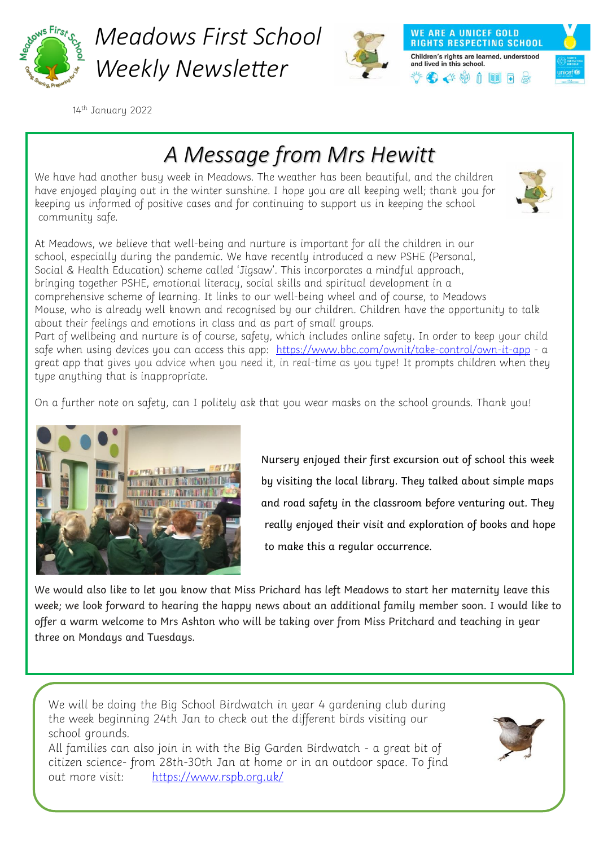

*Meadows First School Weekly Newsletter*



**WE ARE A UNICEF GOLD RIGHTS RESPECTING SCHOOL** Children's rights are learned, understood and lived in this school.  $\bullet$   $\bullet$   $\bullet$   $\bullet$   $\bullet$   $\bullet$ 



14th January 2022

## *A Message from Mrs Hewitt*

We have had another busy week in Meadows. The weather has been beautiful, and the children have enjoyed playing out in the winter sunshine. I hope you are all keeping well; thank you for keeping us informed of positive cases and for continuing to support us in keeping the school community safe.



At Meadows, we believe that well-being and nurture is important for all the children in our school, especially during the pandemic. We have recently introduced a new PSHE (Personal, Social & Health Education) scheme called 'Jigsaw'. This incorporates a mindful approach, bringing together PSHE, emotional literacy, social skills and spiritual development in a comprehensive scheme of learning. It links to our well-being wheel and of course, to Meadows Mouse, who is already well known and recognised by our children. Children have the opportunity to talk about their feelings and emotions in class and as part of small groups.

Part of wellbeing and nurture is of course, safety, which includes online safety. In order to keep your child safe when using devices you can access this app: <https://www.bbc.com/ownit/take-control/own-it-app> - a great app that gives you advice when you need it, in real-time as you type! It prompts children when they type anything that is inappropriate.

On a further note on safety, can I politely ask that you wear masks on the school grounds. Thank you!



Nursery enjoyed their first excursion out of school this week  $\frac{1}{2}$  by visiting the local library. They talked about simple maps and road safety in the classroom before venturing out. They really enjoyed their visit and exploration of books and hope to make this a regular occurrence.

We would also like to let you know that Miss Prichard has left Meadows to start her maternity leave this week; we look forward to hearing the happy news about an additional family member soon. I would like to offer a warm welcome to Mrs Ashton who will be taking over from Miss Pritchard and teaching in year three on Mondays and Tuesdays.

We will be doing the Big School Birdwatch in year 4 gardening club during the week beginning 24th Jan to check out the different birds visiting our school grounds.

All families can also join in with the Big Garden Birdwatch - a great bit of citizen science- from 28th-30th Jan at home or in an outdoor space. To find out more visit: <https://www.rspb.org.uk/>